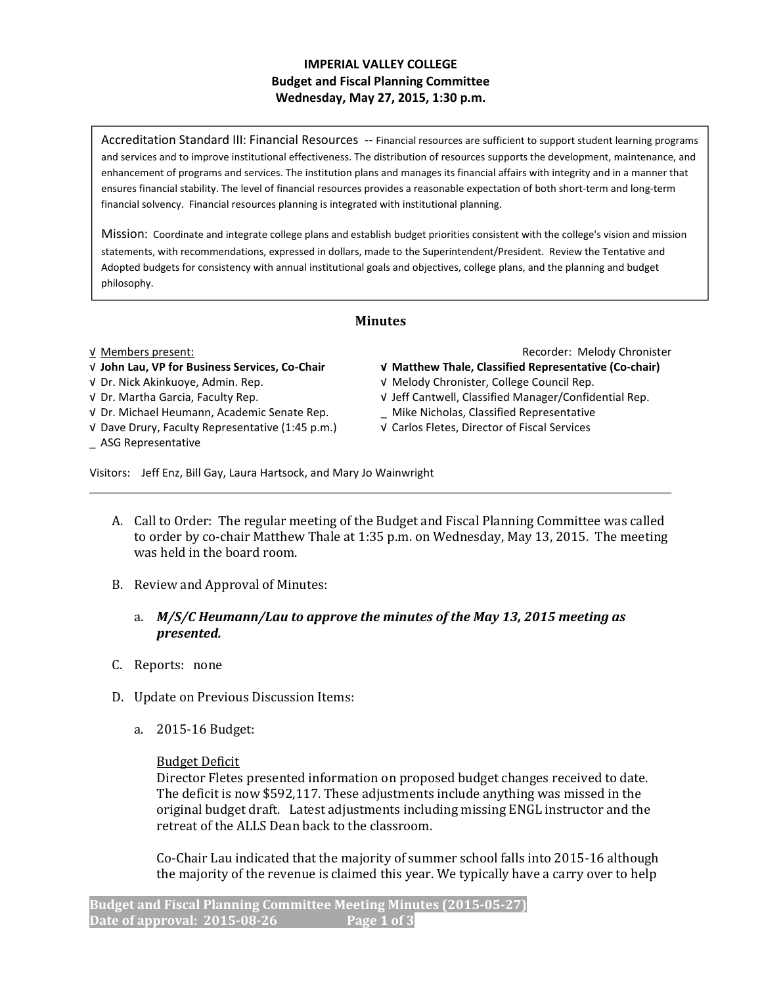## IMPERIAL VALLEY COLLEGE Budget and Fiscal Planning Committee Wednesday, May 27, 2015, 1:30 p.m.

Accreditation Standard III: Financial Resources -- Financial resources are sufficient to support student learning programs and services and to improve institutional effectiveness. The distribution of resources supports the development, maintenance, and enhancement of programs and services. The institution plans and manages its financial affairs with integrity and in a manner that ensures financial stability. The level of financial resources provides a reasonable expectation of both short-term and long-term financial solvency. Financial resources planning is integrated with institutional planning.

Mission: Coordinate and integrate college plans and establish budget priorities consistent with the college's vision and mission statements, with recommendations, expressed in dollars, made to the Superintendent/President. Review the Tentative and Adopted budgets for consistency with annual institutional goals and objectives, college plans, and the planning and budget philosophy.

# Minutes

- 
- 
- √ Dr. Michael Heumann, Academic Senate Rep. \_ Mike Nicholas, Classified Representative
- √ Dave Drury, Faculty Representative (1:45 p.m.) √ Carlos Fletes, Director of Fiscal Services
- \_ ASG Representative

√ Members present: Recorder: Melody Chronister

- √ John Lau, VP for Business Services, Co-Chair √ Matthew Thale, Classified Representative (Co-chair)
- √ Dr. Nick Akinkuoye, Admin. Rep. √ Melody Chronister, College Council Rep.
- √ Dr. Martha Garcia, Faculty Rep. √ Jeff Cantwell, Classified Manager/Confidential Rep.
	-
	-

Visitors: Jeff Enz, Bill Gay, Laura Hartsock, and Mary Jo Wainwright

- A. Call to Order: The regular meeting of the Budget and Fiscal Planning Committee was called to order by co-chair Matthew Thale at 1:35 p.m. on Wednesday, May 13, 2015. The meeting was held in the board room.
- B. Review and Approval of Minutes:
	- a. M/S/C Heumann/Lau to approve the minutes of the May 13, 2015 meeting as presented.
- C. Reports: none
- D. Update on Previous Discussion Items:
	- a. 2015-16 Budget:

## Budget Deficit

Director Fletes presented information on proposed budget changes received to date. The deficit is now \$592,117. These adjustments include anything was missed in the original budget draft. Latest adjustments including missing ENGL instructor and the retreat of the ALLS Dean back to the classroom.

Co-Chair Lau indicated that the majority of summer school falls into 2015-16 although the majority of the revenue is claimed this year. We typically have a carry over to help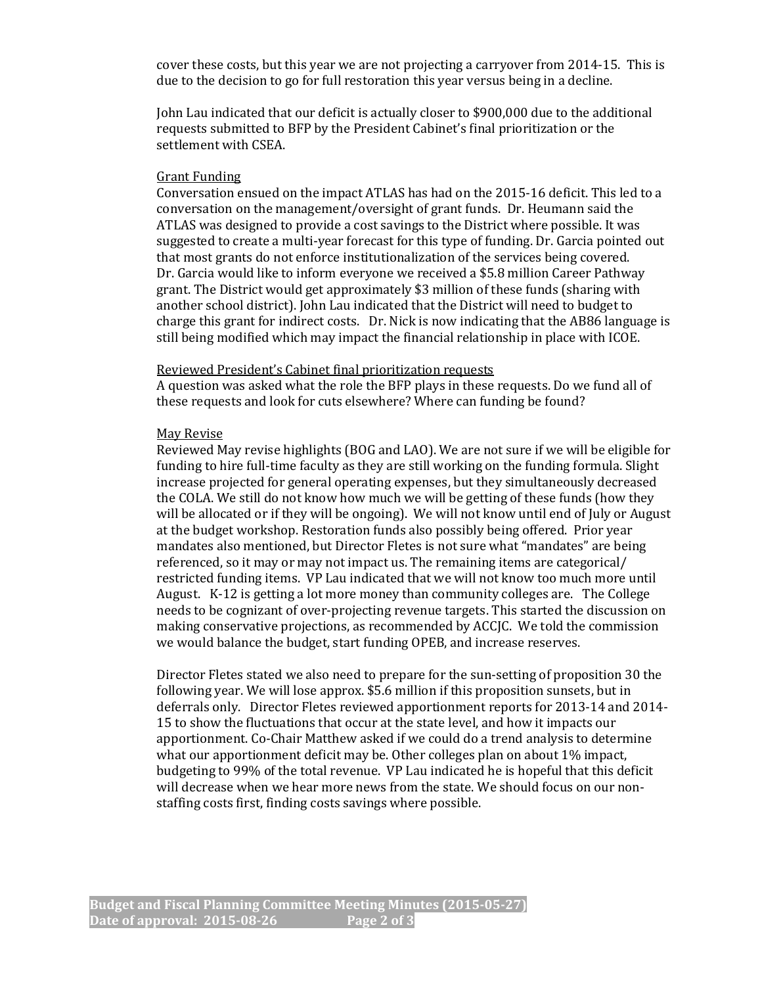cover these costs, but this year we are not projecting a carryover from 2014-15. This is due to the decision to go for full restoration this year versus being in a decline.

John Lau indicated that our deficit is actually closer to \$900,000 due to the additional requests submitted to BFP by the President Cabinet's final prioritization or the settlement with CSEA.

#### Grant Funding

Conversation ensued on the impact ATLAS has had on the 2015-16 deficit. This led to a conversation on the management/oversight of grant funds. Dr. Heumann said the ATLAS was designed to provide a cost savings to the District where possible. It was suggested to create a multi-year forecast for this type of funding. Dr. Garcia pointed out that most grants do not enforce institutionalization of the services being covered. Dr. Garcia would like to inform everyone we received a \$5.8 million Career Pathway grant. The District would get approximately \$3 million of these funds (sharing with another school district). John Lau indicated that the District will need to budget to charge this grant for indirect costs. Dr. Nick is now indicating that the AB86 language is still being modified which may impact the financial relationship in place with ICOE.

### Reviewed President's Cabinet final prioritization requests

A question was asked what the role the BFP plays in these requests. Do we fund all of these requests and look for cuts elsewhere? Where can funding be found?

### May Revise

Reviewed May revise highlights (BOG and LAO). We are not sure if we will be eligible for funding to hire full-time faculty as they are still working on the funding formula. Slight increase projected for general operating expenses, but they simultaneously decreased the COLA. We still do not know how much we will be getting of these funds (how they will be allocated or if they will be ongoing). We will not know until end of July or August at the budget workshop. Restoration funds also possibly being offered. Prior year mandates also mentioned, but Director Fletes is not sure what "mandates" are being referenced, so it may or may not impact us. The remaining items are categorical/ restricted funding items. VP Lau indicated that we will not know too much more until August. K-12 is getting a lot more money than community colleges are. The College needs to be cognizant of over-projecting revenue targets. This started the discussion on making conservative projections, as recommended by ACCJC. We told the commission we would balance the budget, start funding OPEB, and increase reserves.

Director Fletes stated we also need to prepare for the sun-setting of proposition 30 the following year. We will lose approx. \$5.6 million if this proposition sunsets, but in deferrals only. Director Fletes reviewed apportionment reports for 2013-14 and 2014- 15 to show the fluctuations that occur at the state level, and how it impacts our apportionment. Co-Chair Matthew asked if we could do a trend analysis to determine what our apportionment deficit may be. Other colleges plan on about 1% impact, budgeting to 99% of the total revenue. VP Lau indicated he is hopeful that this deficit will decrease when we hear more news from the state. We should focus on our nonstaffing costs first, finding costs savings where possible.